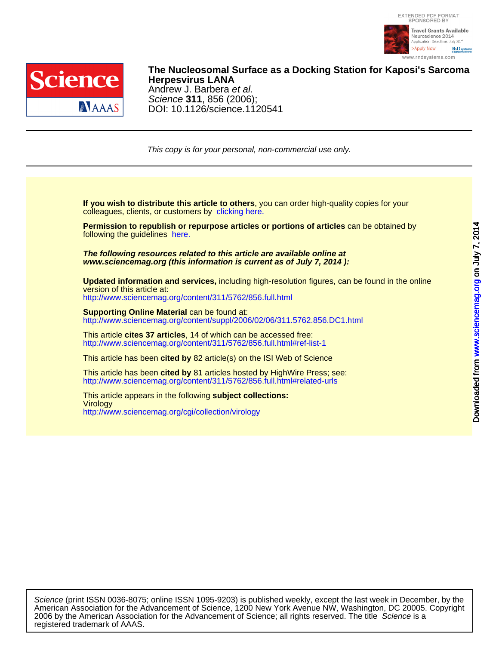



DOI: 10.1126/science.1120541 Science **311**, 856 (2006); Andrew J. Barbera et al. **Herpesvirus LANA The Nucleosomal Surface as a Docking Station for Kaposi's Sarcoma**

This copy is for your personal, non-commercial use only.

colleagues, clients, or customers by [clicking here.](http://www.sciencemag.org/about/permissions.dtl) **If you wish to distribute this article to others**, you can order high-quality copies for your

following the guidelines [here.](http://www.sciencemag.org/about/permissions.dtl) **Permission to republish or repurpose articles or portions of articles** can be obtained by

**www.sciencemag.org (this information is current as of July 7, 2014 ): The following resources related to this article are available online at**

version of this article at: **Updated information and services,** including high-resolution figures, can be found in the online

<http://www.sciencemag.org/content/311/5762/856.full.html>

[http://www.sciencemag.org/content/suppl/2006/02/06/311.5762.856.DC1.html](http://www.sciencemag.org/content/suppl/2006/02/06/311.5762.856.DC1.html )  **Supporting Online Material** can be found at:

<http://www.sciencemag.org/content/311/5762/856.full.html#ref-list-1> This article **cites 37 articles**, 14 of which can be accessed free:

This article has been **cited by** 82 article(s) on the ISI Web of Science

<http://www.sciencemag.org/content/311/5762/856.full.html#related-urls> This article has been **cited by** 81 articles hosted by HighWire Press; see:

<http://www.sciencemag.org/cgi/collection/virology> **Virology** This article appears in the following **subject collections:**

registered trademark of AAAS. 2006 by the American Association for the Advancement of Science; all rights reserved. The title Science is a American Association for the Advancement of Science, 1200 New York Avenue NW, Washington, DC 20005. Copyright Science (print ISSN 0036-8075; online ISSN 1095-9203) is published weekly, except the last week in December, by the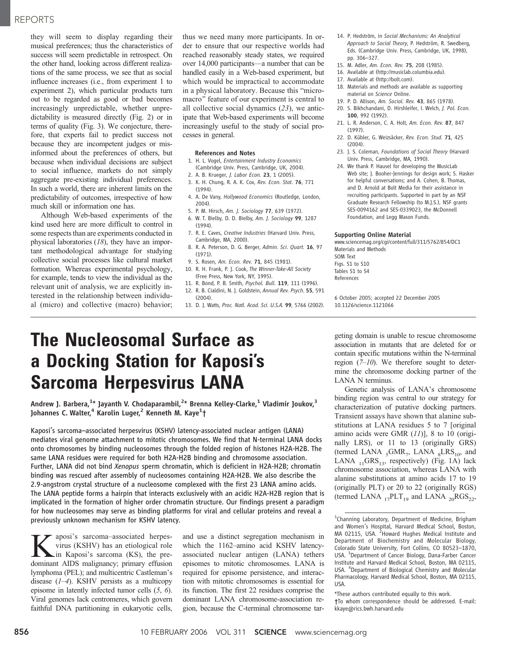# REPORTS

they will seem to display regarding their musical preferences; thus the characteristics of success will seem predictable in retrospect. On the other hand, looking across different realizations of the same process, we see that as social influence increases (i.e., from experiment 1 to experiment 2), which particular products turn out to be regarded as good or bad becomes increasingly unpredictable, whether unpredictability is measured directly (Fig. 2) or in terms of quality (Fig. 3). We conjecture, therefore, that experts fail to predict success not because they are incompetent judges or misinformed about the preferences of others, but because when individual decisions are subject to social influence, markets do not simply aggregate pre-existing individual preferences. In such a world, there are inherent limits on the predictability of outcomes, irrespective of how much skill or information one has.

Although Web-based experiments of the kind used here are more difficult to control in some respects than are experiments conducted in physical laboratories (18), they have an important methodological advantage for studying collective social processes like cultural market formation. Whereas experimental psychology, for example, tends to view the individual as the relevant unit of analysis, we are explicitly interested in the relationship between individual (micro) and collective (macro) behavior;

thus we need many more participants. In order to ensure that our respective worlds had reached reasonably steady states, we required over 14,000 participants—a number that can be handled easily in a Web-based experiment, but which would be impractical to accommodate in a physical laboratory. Because this "micromacro" feature of our experiment is central to all collective social dynamics (23), we anticipate that Web-based experiments will become increasingly useful to the study of social processes in general.

### References and Notes

- 1. H. L. Vogel, Entertainment Industry Economics (Cambridge Univ. Press, Cambridge, UK, 2004).
- 2. A. B. Krueger, J. Labor Econ. 23, 1 (2005).
- 3. K. H. Chung, R. A. K. Cox, Rev. Econ. Stat. 76, 771 (1994).
- 4. A. De Vany, Hollywood Economics (Routledge, London, 2004).
- 5. P. M. Hirsch, Am. J. Sociology 77, 639 (1972).
- 6. W. T. Bielby, D. D. Bielby, Am. J. Sociology 99, 1287 (1994).
- 7. R. E. Caves, Creative Industries (Harvard Univ. Press, Cambridge, MA, 2000).
- 8. R. A. Peterson, D. G. Berger, Admin. Sci. Quart. 16, 97 (1971).
- 9. S. Rosen, Am. Econ. Rev. 71, 845 (1981).
- 10. R. H. Frank, P. J. Cook, The Winner-Take-All Society (Free Press, New York, NY, 1995).
- 11. R. Bond, P. B. Smith, Psychol. Bull. 119, 111 (1996).
- 12. R. B. Cialdini, N. J. Goldstein, Annual Rev. Psych. 55, 591 (2004).
- 13. D. J. Watts, Proc. Natl. Acad. Sci. U.S.A. 99, 5766 (2002).
- 14. P. Hedström, in Social Mechanisms: An Analytical Approach to Social Theory, P. Hedström, R. Swedberg, Eds. (Cambridge Univ. Press, Cambridge, UK, 1998), pp. 306–327.
- 15. M. Adler, Am. Econ. Rev. 75, 208 (1985).
- 16. Available at (http://musiclab.columbia.edu).
- 17. Available at (http://bolt.com).
- 18. Materials and methods are available as supporting material on Science Online.
- 19. P. D. Allison, Am. Sociol. Rev. 43, 865 (1978).
- 20. S. Bikhchandani, D. Hirshleifer, I. Welch, J. Pol. Econ. 100, 992 (1992).
- 21. L. R. Anderson, C. A. Holt, Am. Econ. Rev. 87, 847 (1997).
- 22. D. Kübler, G. Weizsäcker, Rev. Econ. Stud. 71, 425 (2004).
- 23. J. S. Coleman, Foundations of Social Theory (Harvard Univ. Press, Cambridge, MA, 1990).
- 24. We thank P. Hausel for developing the MusicLab Web site; J. Booher-Jennings for design work; S. Hasker for helpful conversations; and A. Cohen, B. Thomas, and D. Arnold at Bolt Media for their assistance in recruiting participants. Supported in part by an NSF Graduate Research Fellowship (to M.J.S.), NSF grants SES-0094162 and SES-0339023, the McDonnell Foundation, and Legg Mason Funds.

### Supporting Online Material

www.sciencemag.org/cgi/content/full/311/5762/854/DC1 Materials and Methods SOM Text Figs. S1 to S10 Tables S1 to S4 References

6 October 2005; accepted 22 December 2005 10.1126/science.1121066

# The Nucleosomal Surface as a Docking Station for Kaposi's Sarcoma Herpesvirus LANA

Andrew J. Barbera, $^{\rm 1*}$  Jayanth V. Chodaparambil, $^{\rm 2*}$  Brenna Kelley-Clarke, $^{\rm 1}$  Vladimir Joukov, $^{\rm 3}$ Johannes C. Walter, $^4$  Karolin Luger, $^2$  Kenneth M. Kaye $^1\dagger$ 

Kaposi's sarcoma–associated herpesvirus (KSHV) latency-associated nuclear antigen (LANA) mediates viral genome attachment to mitotic chromosomes. We find that N-terminal LANA docks onto chromosomes by binding nucleosomes through the folded region of histones H2A-H2B. The same LANA residues were required for both H2A-H2B binding and chromosome association. Further, LANA did not bind Xenopus sperm chromatin, which is deficient in H2A-H2B; chromatin binding was rescued after assembly of nucleosomes containing H2A-H2B. We also describe the 2.9-angstrom crystal structure of a nucleosome complexed with the first 23 LANA amino acids. The LANA peptide forms a hairpin that interacts exclusively with an acidic H2A-H2B region that is implicated in the formation of higher order chromatin structure. Our findings present a paradigm for how nucleosomes may serve as binding platforms for viral and cellular proteins and reveal a previously unknown mechanism for KSHV latency.

**K** aposi's sarcoma–associated herpes-<br>virus (KSHV) has an etiological role<br>in Kaposi's sarcoma (KS), the pre-<br>dominant AIDS malionancy: primary effision virus (KSHV) has an etiological role dominant AIDS malignancy; primary effusion lymphoma (PEL); and multicentric Castleman\_s disease  $(1-4)$ . KSHV persists as a multicopy episome in latently infected tumor cells (5, 6). Viral genomes lack centromeres, which govern faithful DNA partitioning in eukaryotic cells,

and use a distinct segregation mechanism in which the 1162–amino acid KSHV latencyassociated nuclear antigen (LANA) tethers episomes to mitotic chromosomes. LANA is required for episome persistence, and interaction with mitotic chromosomes is essential for its function. The first 22 residues comprise the dominant LANA chromosome-association region, because the C-terminal chromosome targeting domain is unable to rescue chromosome association in mutants that are deleted for or contain specific mutations within the N-terminal region  $(7–10)$ . We therefore sought to determine the chromosome docking partner of the LANA N terminus.

Genetic analysis of LANA's chromosome binding region was central to our strategy for characterization of putative docking partners. Transient assays have shown that alanine substitutions at LANA residues 5 to 7 [original] amino acids were GMR  $(11)$ ], 8 to 10 (originally LRS), or 11 to 13 (originally GRS) (termed LANA  $_5$ GMR<sub>7</sub>, LANA  $_8$ LRS<sub>10</sub>, and LANA  $_{11}$ GRS<sub>13</sub>, respectively) (Fig. 1A) lack chromosome association, whereas LANA with alanine substitutions at amino acids 17 to 19 (originally PLT) or 20 to 22 (originally RGS) (termed LANA  $_{17}$ PLT<sub>19</sub> and LANA  $_{20}$ RGS<sub>22</sub>,

†To whom correspondence should be addressed. E-mail: kkaye@rics.bwh.harvard.edu

<sup>&</sup>lt;sup>1</sup>Channing Laboratory, Department of Medicine, Brigham and Women's Hospital, Harvard Medical School, Boston, MA 02115, USA. <sup>2</sup>Howard Hughes Medical Institute and Department of Biochemistry and Molecular Biology, Colorado State University, Fort Collins, CO 80523–1870, USA. <sup>3</sup> Department of Cancer Biology, Dana-Farber Cancer Institute and Harvard Medical School, Boston, MA 02115, USA. <sup>4</sup> Department of Biological Chemistry and Molecular Pharmacology, Harvard Medical School, Boston, MA 02115, USA.

<sup>\*</sup>These authors contributed equally to this work.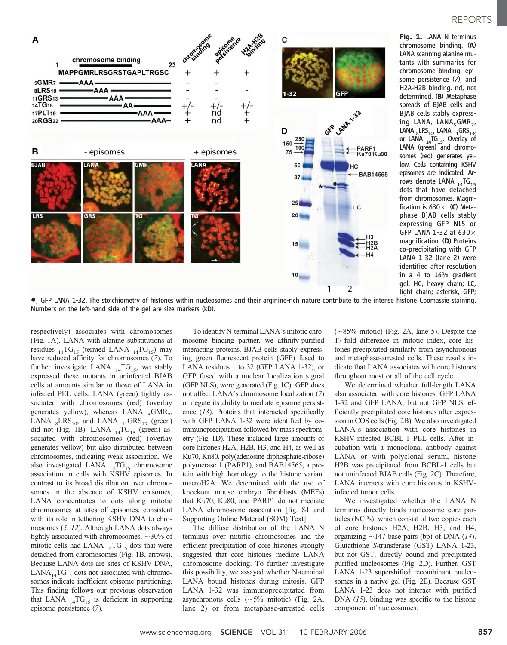

Fig. 1. LANA N terminus chromosome binding. (A) LANA scanning alanine mutants with summaries for chromosome binding, episome persistence (7), and H2A-H2B binding. nd, not determined. (B) Metaphase spreads of BJAB cells and BJAB cells stably expressing LANA,  $LANA<sub>5</sub>GMR<sub>7</sub>$ ,  $\text{LANA }_{8} \text{LRS}_{10'}$   $\text{LANA }_{11} \text{GRS}_{13'}$ or LANA  $_{14}$ TG<sub>15</sub>. Overlay of LANA (green) and chromosomes (red) generates yellow. Cells containing KSHV episomes are indicated. Arrows denote LANA  $_{14}$ TG<sub>15</sub> dots that have detached from chromosomes. Magnification is  $630\times$ . (C) Metaphase BJAB cells stably expressing GFP NLS or GFP LANA 1-32 at 630 $\times$ magnification. (D) Proteins co-precipitating with GFP LANA 1-32 (lane 2) were identified after resolution in a 4 to 16% gradient gel. HC, heavy chain; LC, light chain; asterisk, GFP;

Numbers on the left-hand side of the gel are size markers (kD).

respectively) associates with chromosomes (Fig. 1A). LANA with alanine substitutions at residues  $_{14}TG_{15}$  (termed LANA  $_{14}TG_{15}$ ) may have reduced affinity for chromosomes (7). To further investigate LANA  $_{14}TG_{15}$ , we stably expressed these mutants in uninfected BJAB cells at amounts similar to those of LANA in infected PEL cells. LANA (green) tightly associated with chromosomes (red) (overlay generates yellow), whereas LANA  $_{5}$ GMR<sub>7</sub>, LANA  $_8$ LRS<sub>10</sub>, and LANA  $_{11}$ GRS<sub>13</sub> (green) did not (Fig. 1B). LANA  $_{14}$ TG<sub>15</sub> (green) associated with chromosomes (red) (overlay generates yellow) but also distributed between chromosomes, indicating weak association. We also investigated LANA  $_{14}TG_{15}$  chromosome association in cells with KSHV episomes. In contrast to its broad distribution over chromosomes in the absence of KSHV episomes, LANA concentrates to dots along mitotic chromosomes at sites of episomes, consistent with its role in tethering KSHV DNA to chromosomes (5, 12). Although LANA dots always tightly associated with chromosomes,  $\sim$ 30% of mitotic cells had LANA  $_{14}TG_{15}$  dots that were detached from chromosomes (Fig. 1B, arrows). Because LANA dots are sites of KSHV DNA,  $LANA_{14}TG_{15}$  dots not associated with chromosomes indicate inefficient episome partitioning. This finding follows our previous observation that LANA  $_{14}TG_{15}$  is deficient in supporting episome persistence (7).

To identify N-terminal LANA's mitotic chromosome binding partner, we affinity-purified interacting proteins. BJAB cells stably expressing green fluorescent protein (GFP) fused to LANA residues 1 to 32 (GFP LANA 1-32), or GFP fused with a nuclear localization signal (GFP NLS), were generated (Fig. 1C). GFP does not affect LANA's chromosome localization (7) or negate its ability to mediate episome persistence (13). Proteins that interacted specifically with GFP LANA 1-32 were identified by coimmunoprecipitation followed by mass spectrometry (Fig. 1D). These included large amounts of core histones H2A, H2B, H3, and H4, as well as Ku70, Ku80, poly(adenosine diphosphate-ribose) polymerase 1 (PARP1), and BAB14565, a protein with high homology to the histone variant macroH2A. We determined with the use of knockout mouse embryo fibroblasts (MEFs) that Ku70, Ku80, and PARP1 do not mediate LANA chromosome association [fig. S1 and Supporting Online Material (SOM) Text].

The diffuse distribution of the LANA N terminus over mitotic chromosomes and the efficient precipitation of core histones strongly suggested that core histones mediate LANA chromosome docking. To further investigate this possibility, we assayed whether N-terminal LANA bound histones during mitosis. GFP LANA 1-32 was immunoprecipitated from asynchronous cells  $({\sim}5\%$  mitotic) (Fig. 2A, lane 2) or from metaphase-arrested cells

 $(\sim 85\%$  mitotic) (Fig. 2A, lane 5). Despite the 17-fold difference in mitotic index, core histones precipitated similarly from asynchronous and metaphase-arrested cells. These results indicate that LANA associates with core histones throughout most or all of the cell cycle.

We determined whether full-length LANA also associated with core histones. GFP LANA 1-32 and GFP LANA, but not GFP NLS, efficiently precipitated core histones after expression in COS cells (Fig. 2B). We also investigated LANA's association with core histones in KSHV-infected BCBL-1 PEL cells. After incubation with a monoclonal antibody against LANA or with polyclonal serum, histone H2B was precipitated from BCBL-1 cells but not uninfected BJAB cells (Fig. 2C). Therefore, LANA interacts with core histones in KSHVinfected tumor cells.

We investigated whether the LANA N terminus directly binds nucleosome core particles (NCPs), which consist of two copies each of core histones H2A, H2B, H3, and H4, organizing  $\sim$  147 base pairs (bp) of DNA (14). Glutathione S-transferase (GST) LANA 1-23, but not GST, directly bound and precipitated purified nucleosomes (Fig. 2D). Further, GST LANA 1-23 supershifted recombinant nucleosomes in a native gel (Fig. 2E). Because GST LANA 1-23 does not interact with purified DNA  $(15)$ , binding was specific to the histone component of nucleosomes.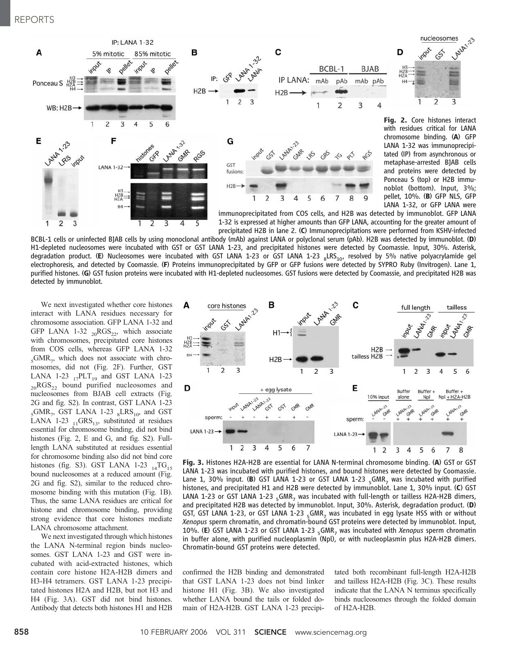

BCBL-1 cells or uninfected BJAB cells by using monoclonal antibody (mAb) against LANA or polyclonal serum (pAb). H2B was detected by immunoblot. (D) H1-depleted nucleosomes were incubated with GST or GST LANA 1-23, and precipitated histones were detected by Coomassie. Input, 30%. Asterisk, degradation product. (E) Nucleosomes were incubated with GST LANA 1-23 or GST LANA 1-23  $_8$ LRS<sub>10</sub>, resolved by 5% native polyacrylamide gel electrophoresis, and detected by Coomassie. (F) Proteins immunoprecipitated by GFP or GFP fusions were detected by SYPRO Ruby (Invitrogen). Lane 1, purified histones. (G) GST fusion proteins were incubated with H1-depleted nucleosomes. GST fusions were detected by Coomassie, and precipitated H2B was detected by immunoblot.

We next investigated whether core histones interact with LANA residues necessary for chromosome association. GFP LANA 1-32 and GFP LANA 1-32  $_{20}RGS_{22}$ , which associate with chromosomes, precipitated core histones from COS cells, whereas GFP LANA 1-32  $_{5}$ GMR<sub>7</sub>, which does not associate with chromosomes, did not (Fig. 2F). Further, GST LANA 1-23  $_{17}$ PLT<sub>19</sub> and GST LANA 1-23  $_{20}RGS_{22}$  bound purified nucleosomes and nucleosomes from BJAB cell extracts (Fig. 2G and fig. S2). In contrast, GST LANA 1-23  $_{5}$ GMR<sub>7</sub>, GST LANA 1-23  $_{8}$ LRS<sub>10</sub>, and GST LANA 1-23  $_{11}$ GRS<sub>13</sub>, substituted at residues essential for chromosome binding, did not bind histones (Fig. 2, E and G, and fig. S2). Fulllength LANA substituted at residues essential for chromosome binding also did not bind core histones (fig. S3). GST LANA 1-23  $_{14}TG_{15}$ bound nucleosomes at a reduced amount (Fig. 2G and fig. S2), similar to the reduced chromosome binding with this mutation (Fig. 1B). Thus, the same LANA residues are critical for histone and chromosome binding, providing strong evidence that core histones mediate LANA chromosome attachment.

We next investigated through which histones the LANA N-terminal region binds nucleosomes. GST LANA 1-23 and GST were incubated with acid-extracted histones, which contain core histone H2A-H2B dimers and H3-H4 tetramers. GST LANA 1-23 precipitated histones H2A and H2B, but not H3 and H4 (Fig. 3A). GST did not bind histones. Antibody that detects both histones H1 and H2B



Fig. 3. Histones H2A-H2B are essential for LANA N-terminal chromosome binding. (A) GST or GST LANA 1-23 was incubated with purified histones, and bound histones were detected by Coomassie. Lane 1, 30% input. (B) GST LANA 1-23 or GST LANA 1-23  $<sub>5</sub>$ GMR<sub>7</sub> was incubated with purified</sub> histones, and precipitated H1 and H2B were detected by immunoblot. Lane 1, 30% input. (C) GST LANA 1-23 or GST LANA 1-23  $_{c}$ GMR<sub>7</sub> was incubated with full-length or tailless H2A-H2B dimers, and precipitated H2B was detected by immunoblot. Input, 30%. Asterisk, degradation product. (D) GST, GST LANA 1-23, or GST LANA 1-23  $_{5}$ GMR<sub>7</sub> was incubated in egg lysate HSS with or without Xenopus sperm chromatin, and chromatin-bound GST proteins were detected by immunoblot. Input, 10%. (E) GST LANA 1-23 or GST LANA 1-23 <sub>c</sub>GMR<sub>7</sub> was incubated with Xenopus sperm chromatin in buffer alone, with purified nucleoplasmin (Npl), or with nucleoplasmin plus H2A-H2B dimers. Chromatin-bound GST proteins were detected.

confirmed the H2B binding and demonstrated that GST LANA 1-23 does not bind linker histone H1 (Fig. 3B). We also investigated whether LANA bound the tails or folded domain of H2A-H2B. GST LANA 1-23 precipitated both recombinant full-length H2A-H2B and tailless H2A-H2B (Fig. 3C). These results indicate that the LANA N terminus specifically binds nucleosomes through the folded domain of H2A-H2B.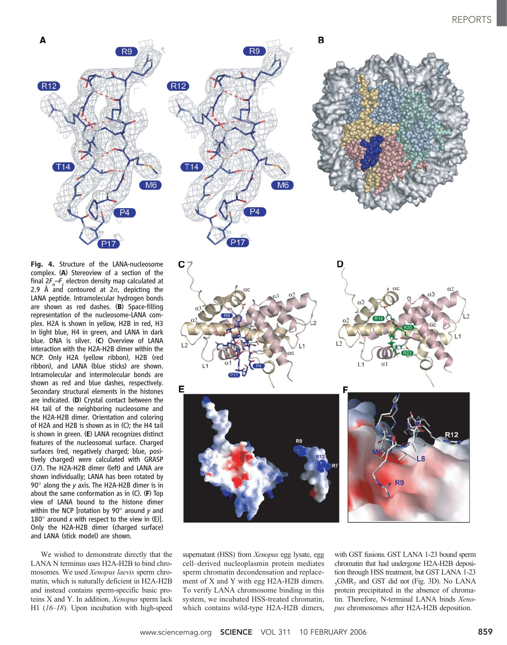

Fig. 4. Structure of the LANA-nucleosome complex. (A) Stereoview of a section of the final  $2F_{o}$ - $F_{c}$  electron density map calculated at 2.9 Å and contoured at  $2\sigma$ , depicting the LANA peptide. Intramolecular hydrogen bonds are shown as red dashes. (B) Space-filling representation of the nucleosome-LANA complex. H2A is shown in yellow, H2B in red, H3 in light blue, H4 in green, and LANA in dark blue. DNA is silver. (C) Overview of LANA interaction with the H2A-H2B dimer within the NCP. Only H2A (yellow ribbon), H2B (red ribbon), and LANA (blue sticks) are shown. Intramolecular and intermolecular bonds are shown as red and blue dashes, respectively. Secondary structural elements in the histones are indicated. (D) Crystal contact between the H4 tail of the neighboring nucleosome and the H2A-H2B dimer. Orientation and coloring of H2A and H2B is shown as in (C); the H4 tail is shown in green. (E) LANA recognizes distinct features of the nucleosomal surface. Charged surfaces (red, negatively charged; blue, positively charged) were calculated with GRASP (37). The H2A-H2B dimer (left) and LANA are shown individually; LANA has been rotated by 90 $^{\circ}$  along the y axis. The H2A-H2B dimer is in about the same conformation as in (C). (F) Top view of LANA bound to the histone dimer within the NCP [rotation by 90 $^{\circ}$  around y and 180 $^{\circ}$  around x with respect to the view in (E)]. Only the H2A-H2B dimer (charged surface) and LANA (stick model) are shown.

We wished to demonstrate directly that the LANA N terminus uses H2A-H2B to bind chromosomes. We used Xenopus laevis sperm chromatin, which is naturally deficient in H2A-H2B and instead contains sperm-specific basic proteins X and Y. In addition, Xenopus sperm lack H1 (16–18). Upon incubation with high-speed









supernatant (HSS) from *Xenopus* egg lysate, egg cell–derived nucleoplasmin protein mediates sperm chromatin decondensation and replacement of X and Y with egg H2A-H2B dimers. To verify LANA chromosome binding in this system, we incubated HSS-treated chromatin, which contains wild-type H2A-H2B dimers,

with GST fusions. GST LANA 1-23 bound sperm chromatin that had undergone H2A-H2B deposition through HSS treatment, but GST LANA 1-23  $_5$ GMR<sub>7</sub> and GST did not (Fig. 3D). No LANA protein precipitated in the absence of chromatin. Therefore, N-terminal LANA binds Xenopus chromosomes after H2A-H2B deposition.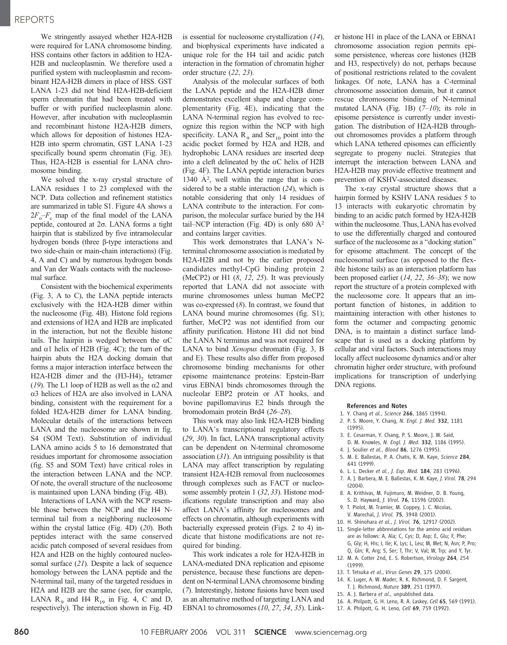## REPORTS

We stringently assayed whether H2A-H2B were required for LANA chromosome binding. HSS contains other factors in addition to H2A-H2B and nucleoplasmin. We therefore used a purified system with nucleoplasmin and recombinant H2A-H2B dimers in place of HSS. GST LANA 1-23 did not bind H2A-H2B-deficient sperm chromatin that had been treated with buffer or with purified nucleoplasmin alone. However, after incubation with nucleoplasmin and recombinant histone H2A-H2B dimers, which allows for deposition of histones H2A-H2B into sperm chromatin, GST LANA 1-23 specifically bound sperm chromatin (Fig. 3E). Thus, H2A-H2B is essential for LANA chromosome binding.

We solved the x-ray crystal structure of LANA residues 1 to 23 complexed with the NCP. Data collection and refinement statistics are summarized in table S1. Figure 4A shows a  $2F_o-F_c$  map of the final model of the LANA peptide, contoured at  $2\sigma$ . LANA forms a tight hairpin that is stabilized by five intramolecular hydrogen bonds (three  $\beta$ -type interactions and two side-chain or main-chain interactions) (Fig. 4, A and C) and by numerous hydrogen bonds and Van der Waals contacts with the nucleosomal surface.

Consistent with the biochemical experiments (Fig. 3, A to C), the LANA peptide interacts exclusively with the H2A-H2B dimer within the nucleosome (Fig. 4B). Histone fold regions and extensions of H2A and H2B are implicated in the interaction, but not the flexible histone tails. The hairpin is wedged between the  $\alpha$ C and  $\alpha$ 1 helix of H2B (Fig. 4C); the turn of the hairpin abuts the H2A docking domain that forms a major interaction interface between the H2A-H2B dimer and the (H3-H4), tetramer (19). The L1 loop of H2B as well as the  $\alpha$ 2 and  $\alpha$ 3 helices of H2A are also involved in LANA binding, consistent with the requirement for a folded H2A-H2B dimer for LANA binding. Molecular details of the interactions between LANA and the nucleosome are shown in fig. S4 (SOM Text). Substitution of individual LANA amino acids 5 to 16 demonstrated that residues important for chromosome association (fig. S5 and SOM Text) have critical roles in the interaction between LANA and the NCP. Of note, the overall structure of the nucleosome is maintained upon LANA binding (Fig. 4B).

Interactions of LANA with the NCP resemble those between the NCP and the H4 Nterminal tail from a neighboring nucleosome within the crystal lattice (Fig. 4D) (20). Both peptides interact with the same conserved acidic patch composed of several residues from H2A and H2B on the highly contoured nucleosomal surface (21). Despite a lack of sequence homology between the LANA peptide and the N-terminal tail, many of the targeted residues in H2A and H2B are the same (see, for example, LANA  $R_9$  and H4  $R_{19}$  in Fig. 4, C and D, respectively). The interaction shown in Fig. 4D

is essential for nucleosome crystallization (14), and biophysical experiments have indicated a unique role for the H4 tail and acidic patch interaction in the formation of chromatin higher order structure (22, 23).

Analysis of the molecular surfaces of both the LANA peptide and the H2A-H2B dimer demonstrates excellent shape and charge complementarity (Fig. 4E), indicating that the LANA N-terminal region has evolved to recognize this region within the NCP with high specificity. LANA  $R_9$  and Ser<sub>10</sub> point into the acidic pocket formed by H2A and H2B, and hydrophobic LANA residues are inserted deep into a cleft delineated by the  $\alpha$ C helix of H2B (Fig. 4F). The LANA peptide interaction buries 1340  $\AA$ <sup>2</sup>, well within the range that is considered to be a stable interaction  $(24)$ , which is notable considering that only 14 residues of LANA contribute to the interaction. For comparison, the molecular surface buried by the H4 tail–NCP interaction (Fig. 4D) is only 680  $\AA$ <sup>2</sup> and contains larger cavities.

This work demonstrates that LANA's Nterminal chromosome association is mediated by H2A-H2B and not by the earlier proposed candidates methyl-CpG binding protein 2 (MeCP2) or H1  $(8, 12, 25)$ . It was previously reported that LANA did not associate with murine chromosomes unless human MeCP2 was co-expressed  $(8)$ . In contrast, we found that LANA bound murine chromosomes (fig. S1); further, MeCP2 was not identified from our affinity purification. Histone H1 did not bind the LANA N terminus and was not required for LANA to bind Xenopus chromatin (Fig. 3, B and E). These results also differ from proposed chromosome binding mechanisms for other episome maintenance proteins: Epstein-Barr virus EBNA1 binds chromosomes through the nucleolar EBP2 protein or AT hooks, and bovine papillomavirus E2 binds through the bromodomain protein Brd4 (26–28).

This work may also link H2A-H2B binding to LANA's transcriptional regulatory effects (29, 30). In fact, LANA transcriptional activity can be dependent on N-terminal chromosome association  $(31)$ . An intriguing possibility is that LANA may affect transcription by regulating transient H2A-H2B removal from nucleosomes through complexes such as FACT or nucleosome assembly protein 1 (32, 33). Histone modifications regulate transcription and may also affect LANA's affinity for nucleosomes and effects on chromatin, although experiments with bacterially expressed protein (Figs. 2 to 4) indicate that histone modifications are not required for binding.

This work indicates a role for H2A-H2B in LANA-mediated DNA replication and episome persistence, because these functions are dependent on N-terminal LANA chromosome binding (7). Interestingly, histone fusions have been used as an alternative method of targeting LANA and EBNA1 to chromosomes (10, 27, 34, 35). Link-

er histone H1 in place of the LANA or EBNA1 chromosome association region permits episome persistence, whereas core histones (H2B and H3, respectively) do not, perhaps because of positional restrictions related to the covalent linkages. Of note, LANA has a C-terminal chromosome association domain, but it cannot rescue chromosome binding of N-terminal mutated LANA (Fig. 1B)  $(7-10)$ ; its role in episome persistence is currently under investigation. The distribution of H2A-H2B throughout chromosomes provides a platform through which LANA tethered episomes can efficiently segregate to progeny nuclei. Strategies that interrupt the interaction between LANA and H2A-H2B may provide effective treatment and prevention of KSHV-associated diseases.

The x-ray crystal structure shows that a hairpin formed by KSHV LANA residues 5 to 13 interacts with eukaryotic chromatin by binding to an acidic patch formed by H2A-H2B within the nucleosome. Thus, LANA has evolved to use the differentially charged and contoured surface of the nucleosome as a "docking station" for episome attachment. The concept of the nucleosomal surface (as opposed to the flexible histone tails) as an interaction platform has been proposed earlier  $(14, 22, 36-38)$ ; we now report the structure of a protein complexed with the nucleosome core. It appears that an important function of histones, in addition to maintaining interaction with other histones to form the octamer and compacting genomic DNA, is to maintain a distinct surface landscape that is used as a docking platform by cellular and viral factors. Such interactions may locally affect nucleosome dynamics and/or alter chromatin higher order structure, with profound implications for transcription of underlying DNA regions.

#### References and Notes

- 1. Y. Chang et al., Science 266, 1865 (1994).
- 2. P. S. Moore, Y. Chang, N. Engl. J. Med. 332, 1181 (1995).
- 3. E. Cesarman, Y. Chang, P. S. Moore, J. W. Said, D. M. Knowles, N. Engl. J. Med. 332, 1186 (1995).
- 4. J. Soulier et al., Blood 86, 1276 (1995).
- 5. M. E. Ballestas, P. A. Chatis, K. M. Kaye, Science 284,
- 641 (1999).
- 6. L. L. Decker et al., J. Exp. Med. 184, 283 (1996).
- 7. A. J. Barbera, M. E. Ballestas, K. M. Kaye, J. Virol. 78, 294  $(2004)$
- 8. A. Krithivas, M. Fujimuro, M. Weidner, D. B. Young, S. D. Hayward, J. Virol. 76, 11596 (2002).
- 9. T. Piolot, M. Tramier, M. Coppey, J. C. Nicolas, V. Marechal, J. Virol. 75, 3948 (2001).
- 10. H. Shinohara et al., J. Virol. 76, 12917 (2002). 11. Single-letter abbreviations for the amino acid residues
- are as follows: A, Ala; C, Cys; D, Asp; E, Glu; F, Phe; G, Gly; H, His; I, Ile; K, Lys; L, Leu; M, Met; N, Asn; P, Pro; Q, Gln; R, Arg; S, Ser; T, Thr; V, Val; W, Trp; and Y, Tyr.
- 12. M. A. Cotter 2nd, E. S. Robertson, Virology 264, 254 (1999).
- 13. T. Tetsuka et al., Virus Genes 29, 175 (2004).
- 14. K. Luger, A. W. Mader, R. K. Richmond, D. F. Sargent, T. J. Richmond, Nature 389, 251 (1997).
- 15. A. J. Barbera et al., unpublished data.
- 16. A. Philpott, G. H. Leno, R. A. Laskey, Cell 65, 569 (1991).
- 17. A. Philpott, G. H. Leno, Cell 69, 759 (1992).